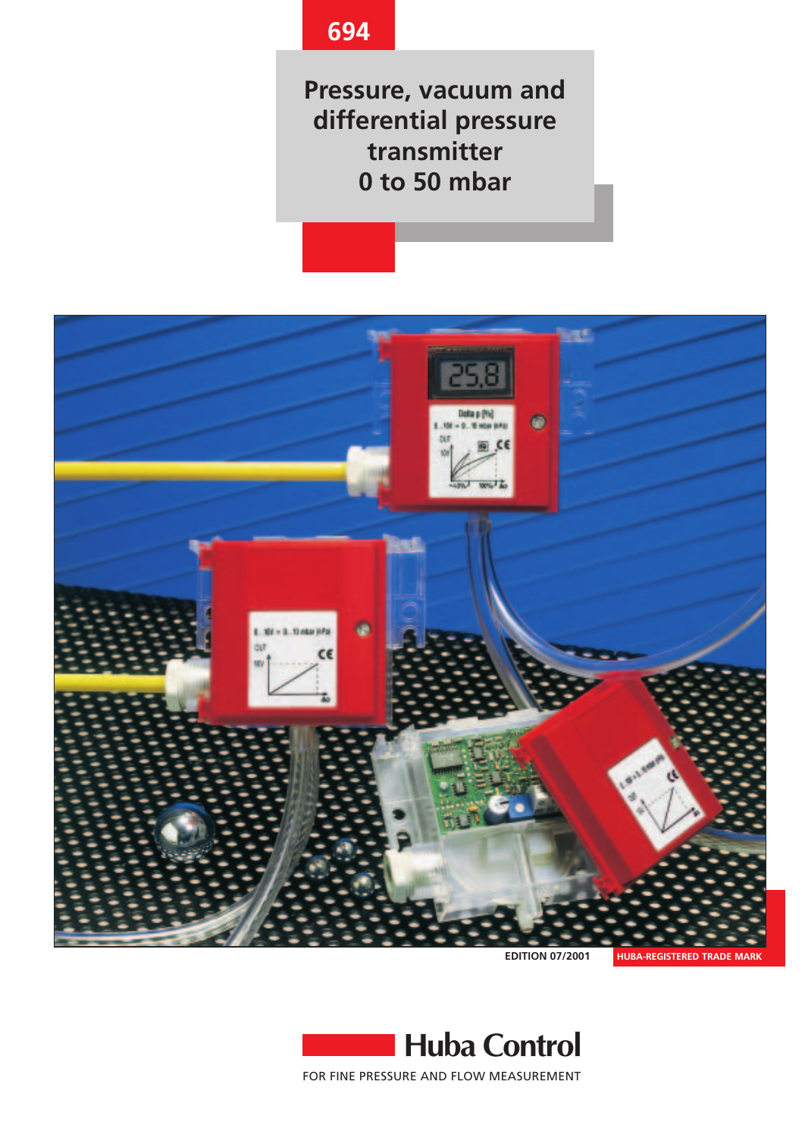# **694**

**Pressure, vacuum and differential pressure transmitter 0 to 50 mbar**



**EDITION 07/2001**



**Huba Control** FOR FINE PRESSURE AND FLOW MEASUREMENT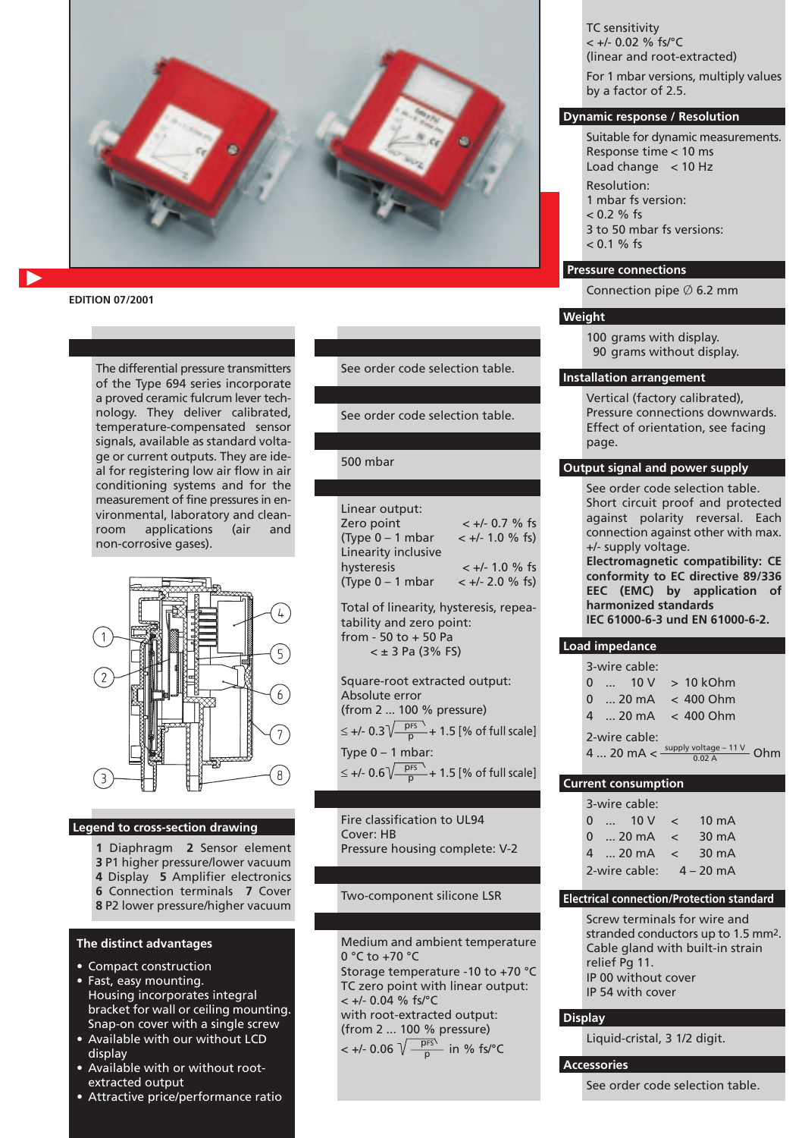

#### **EDITION 07/2001**

The differential pressure transmitters of the Type 694 series incorporate a proved ceramic fulcrum lever technology. They deliver calibrated, temperature-compensated sensor signals, available as standard voltage or current outputs. They are ideal for registering low air flow in air conditioning systems and for the measurement of fine pressures in environmental, laboratory and cleanroom applications (air and non-corrosive gases).



#### **Legend to cross-section drawing**

- **1** Diaphragm **2** Sensor element **3** P1 higher pressure/lower vacuum
- **4** Display **5** Amplifier electronics
- **6** Connection terminals **7** Cover **8** P2 lower pressure/higher vacuum
- **The distinct advantages**
- Compact construction
- Fast, easy mounting. Housing incorporates integral bracket for wall or ceiling mounting. Snap-on cover with a single screw
- Available with our without LCD display
- Available with or without rootextracted output
- Attractive price/performance ratio

See order code selection table.

See order code selection table.

500 mbar

| Linear output:      |                    |
|---------------------|--------------------|
| Zero point          | $< +/- 0.7$ % fs   |
| $(Tvpe 0 - 1 mbar$  | $< +/- 1.0 \%$ fs) |
| Linearity inclusive |                    |
| hysteresis          | $< +/- 1.0$ % fs   |
| $(Type 0 - 1 mbar)$ | $< +/- 2.0 \%$ fs) |

Total of linearity, hysteresis, repeatability and zero point: from - 50 to + 50 Pa  $<$   $\pm$  3 Pa (3% FS)

Square-root extracted output: Absolute error (from 2 ... 100 % pressure) ≤ +/- 0.3 $\sqrt{\frac{prs}{p}}$  + 1.5 [% of full scale] Type  $0 - 1$  mbar: ≤ +/- 0.6 $\sqrt{\frac{pfs}{p}}$  + 1.5 [% of full scale]

Fire classification to UL94 Cover: HB Pressure housing complete: V-2

#### Two-component silicone LSR

Medium and ambient temperature 0 °C to +70 °C Storage temperature -10 to +70 °C TC zero point with linear output: < +/- 0.04 % fs/°C with root-extracted output: (from 2 ... 100 % pressure)

 $< +/- 0.06 \sqrt{\frac{p_{FS}}{n}}$  in % fs/°C p

TC sensitivity  $< +/- 0.02$  % fs/°C (linear and root-extracted) For 1 mbar versions, multiply values by a factor of 2.5.

#### **Dynamic response / Resolution**

Suitable for dynamic measurements. Response time < 10 ms Load change < 10 Hz

- Resolution:
- 1 mbar fs version:
- $< 0.2 \%$  fs
- 3 to 50 mbar fs versions:
- $< 0.1 \%$  fs

# **Pressure connections**

Connection pipe  $\emptyset$  6.2 mm

### **Weight**

100 grams with display. 90 grams without display.

#### **Installation arrangement**

Vertical (factory calibrated), Pressure connections downwards. Effect of orientation, see facing page.

#### **Output signal and power supply**

See order code selection table. Short circuit proof and protected against polarity reversal. Each connection against other with max. +/- supply voltage. **Electromagnetic compatibility: CE**

**conformity to EC directive 89/336 EEC (EMC) by application of harmonized standards IEC 61000-6-3 und EN 61000-6-2.**

#### **Load impedance**

|  | 3-wire cable:            |                                                                                |
|--|--------------------------|--------------------------------------------------------------------------------|
|  | $0$ 10 V > 10 kOhm       |                                                                                |
|  | $0$ 20 mA $\leq 400$ Ohm |                                                                                |
|  | $4$ 20 mA $\leq 400$ Ohm |                                                                                |
|  | 2-wire cable:            |                                                                                |
|  |                          | 4  20 mA $<$ $\frac{\text{supply voltage} - 11 \text{ V}}{0.02 \text{ A}}$ Ohm |

#### **Current consumption**

|          | 3-wire cable:                         |         |                 |
|----------|---------------------------------------|---------|-----------------|
| $\Omega$ | $\ldots$ 10 V                         | $\prec$ | $10 \text{ mA}$ |
|          | 0  20 mA $\le$                        |         | $30 \text{ mA}$ |
|          | $4 \t  20 \text{ mA} < 30 \text{ mA}$ |         |                 |
|          | 2-wire cable:                         |         | $4 - 20$ mA     |

#### **Electrical connection/Protection standard**

Screw terminals for wire and stranded conductors up to 1.5 mm2. Cable gland with built-in strain relief Pg 11. IP 00 without cover IP 54 with cover

## **Display**

Liquid-cristal, 3 1/2 digit.

#### **Accessories**

See order code selection table.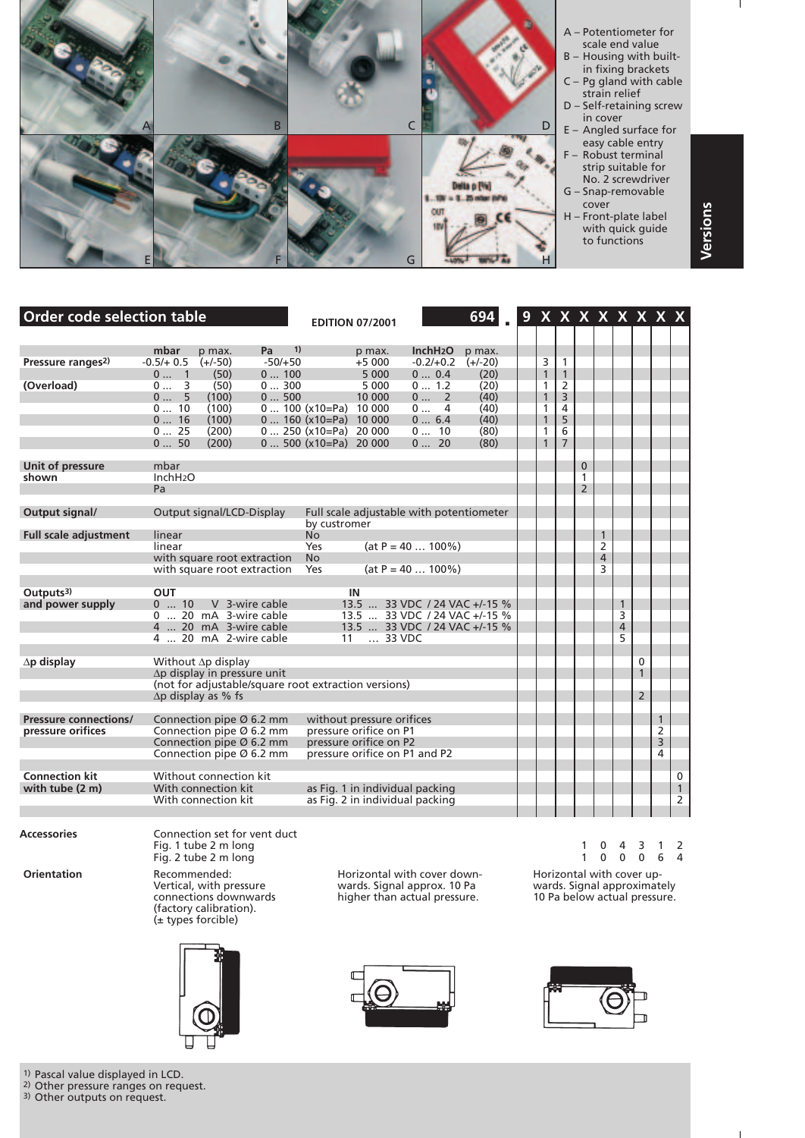

| Order code selection table                        |                                               |                                                                                                                                      |                                                      |                                                                                                             | <b>EDITION 07/2001</b>                                                        |                                                                                                 | 694                                                  |                                                                                                   |                                                                         |                                     |                                                       |                                          |                                     | $9$ X X $ X$ X $ X$ X X $ X $ |                        |
|---------------------------------------------------|-----------------------------------------------|--------------------------------------------------------------------------------------------------------------------------------------|------------------------------------------------------|-------------------------------------------------------------------------------------------------------------|-------------------------------------------------------------------------------|-------------------------------------------------------------------------------------------------|------------------------------------------------------|---------------------------------------------------------------------------------------------------|-------------------------------------------------------------------------|-------------------------------------|-------------------------------------------------------|------------------------------------------|-------------------------------------|-------------------------------|------------------------|
| Pressure ranges <sup>2)</sup>                     | mbar<br>$-0.5/+0.5$                           | p max.<br>$(+/-50)$                                                                                                                  | 1)<br>Pa -<br>$-50/+50$                              |                                                                                                             | p max.<br>$+5000$                                                             | InchH <sub>2</sub> O<br>$-0.2/+0.2$                                                             | p max.<br>$(+/-20)$                                  | 3                                                                                                 | $\mathbf{1}$                                                            |                                     |                                                       |                                          |                                     |                               |                        |
| (Overload)                                        | 0 1<br>0 3<br>0 5<br>010<br>016<br>025<br>050 | (50)<br>(50)<br>(100)<br>(100)<br>(100)<br>(200)<br>(200)                                                                            | 0100<br>0300<br>0500                                 | $0 100 (x10 = Pa) 10000$<br>$0 160 (x10 = Pa) 10000$<br>$0 250 (x10 = Pa) 20000$<br>$0$ 500 (x10=Pa) 20 000 | 5 000<br>5 0 0 0<br>10 000                                                    | 0 0.4<br>0 1.2<br>0 2<br>0 4<br>06.4<br>0 10<br>020                                             | (20)<br>(20)<br>(40)<br>(40)<br>(40)<br>(80)<br>(80) | $\mathbf{1}$<br>$\mathbf{1}$<br>$\mathbf{1}$<br>1<br>$\mathbf{1}$<br>$\mathbf{1}$<br>$\mathbf{1}$ | $\overline{1}$<br>2<br>$\overline{3}$<br>4<br>5<br>6<br>$7\overline{ }$ |                                     |                                                       |                                          |                                     |                               |                        |
| Unit of pressure<br>shown                         | mbar<br>InchH <sub>2</sub> O<br>Pa            |                                                                                                                                      |                                                      |                                                                                                             |                                                                               |                                                                                                 |                                                      |                                                                                                   |                                                                         | $\mathbf{0}$<br>1<br>$\overline{2}$ |                                                       |                                          |                                     |                               |                        |
| Output signal/                                    |                                               | Output signal/LCD-Display                                                                                                            |                                                      | by custromer                                                                                                |                                                                               | Full scale adjustable with potentiometer                                                        |                                                      |                                                                                                   |                                                                         |                                     |                                                       |                                          |                                     |                               |                        |
| <b>Full scale adjustment</b>                      | linear<br>linear                              | with square root extraction<br>with square root extraction                                                                           |                                                      | No.<br>Yes<br><b>No</b><br>Yes                                                                              |                                                                               | $(at P = 40  100%)$<br>$(at P = 40  100\%)$                                                     |                                                      |                                                                                                   |                                                                         |                                     | $\mathbf{1}$<br>$\overline{2}$<br>$\overline{4}$<br>3 |                                          |                                     |                               |                        |
| Outputs $3$ )                                     | <b>OUT</b>                                    |                                                                                                                                      |                                                      |                                                                                                             | IN                                                                            |                                                                                                 |                                                      |                                                                                                   |                                                                         |                                     |                                                       |                                          |                                     |                               |                        |
| and power supply                                  | 010                                           | 0  20 mA 3-wire cable<br>4  20 mA 3-wire cable<br>4  20 mA 2-wire cable                                                              | V 3-wire cable                                       | 11                                                                                                          | $\ldots$ 33 VDC                                                               | 13.5  33 VDC / 24 VAC +/-15 %<br>13.5  33 VDC / 24 VAC +/-15 %<br>13.5  33 VDC / 24 VAC +/-15 % |                                                      |                                                                                                   |                                                                         |                                     |                                                       | $\mathbf{1}$<br>3<br>$\overline{4}$<br>5 |                                     |                               |                        |
| $\Delta p$ display                                |                                               | Without Ap display<br>$\Delta p$ display in pressure unit<br>$\Delta p$ display as % fs                                              | (not for adjustable/square root extraction versions) |                                                                                                             |                                                                               |                                                                                                 |                                                      |                                                                                                   |                                                                         |                                     |                                                       |                                          | 0<br>$\mathbf{1}$<br>$\overline{2}$ |                               |                        |
| <b>Pressure connections/</b><br>pressure orifices |                                               | Connection pipe $\varnothing$ 6.2 mm<br>Connection pipe Ø 6.2 mm<br>Connection pipe $\varnothing$ 6.2 mm<br>Connection pipe Ø 6.2 mm |                                                      |                                                                                                             | without pressure orifices<br>pressure orifice on P1<br>pressure orifice on P2 | pressure orifice on P1 and P2                                                                   |                                                      |                                                                                                   |                                                                         |                                     |                                                       |                                          |                                     | $\mathbf{1}$<br>2<br>3<br>4   |                        |
| <b>Connection kit</b><br>with tube (2 m)          |                                               | Without connection kit<br>With connection kit<br>With connection kit                                                                 |                                                      |                                                                                                             |                                                                               | as Fig. 1 in individual packing<br>as Fig. 2 in individual packing                              |                                                      |                                                                                                   |                                                                         |                                     |                                                       |                                          |                                     |                               | 0<br>$\mathbf{1}$<br>2 |

**Orientation** Recommended: Recommended: Horizontal with cover down-<br>Vertical, with pressure wards. Signal approx. 10 Pa wards. Signal approximately<br>connections downwards higher than actual pressure. 10 Pa below actual pres Vertical, with pressure wards. Signal approx. 10 Pa wards. Signal approximately (factory calibration). (± types forcible) Fig. 2 tube 2 m long 100064

Accessories **Connection** set for vent duct



connections downwards higher than actual pressure. 10 Pa below actual pressure.

Fig. 1 tube 2 m long 104312





 $\overline{1}$ 

1) Pascal value displayed in LCD.

2) Other pressure ranges on request.

3) Other outputs on request.